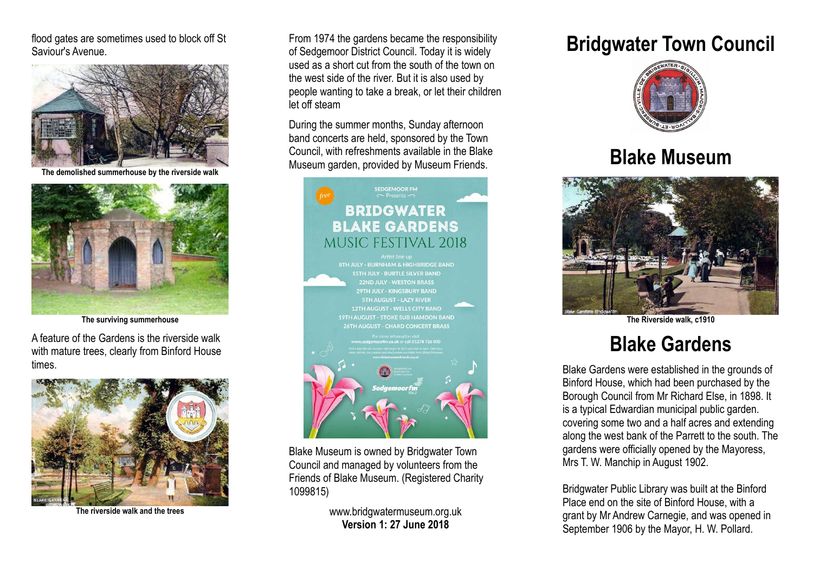flood gates are sometimes used to block off St Saviour's Avenue.



**The demolished summerhouse by the riverside walk**



**The surviving summerhouse**

A feature of the Gardens is the riverside walk with mature trees, clearly from Binford House times.



**The riverside walk and the trees**

From 1974 the gardens became the responsibility of Sedgemoor District Council. Today it is widely used as a short cut from the south of the town on the west side of the river. But it is also used by people wanting to take a break, or let their children let off steam

During the summer months, Sunday afternoon band concerts are held, sponsored by the Town Council, with refreshments available in the Blake Museum garden, provided by Museum Friends.



Blake Museum is owned by Bridgwater Town Council and managed by volunteers from the Friends of Blake Museum. (Registered Charity 1099815)

> www.bridgwatermuseum.org.uk **Version 1: 27 June 2018**

## **Bridgwater Town Council**



## **Blake Museum**



**The Riverside walk, c1910**

## **Blake Gardens**

Blake Gardens were established in the grounds of Binford House, which had been purchased by the Borough Council from Mr Richard Else, in 1898. It is a typical Edwardian municipal public garden. covering some two and a half acres and extending along the west bank of the Parrett to the south. The gardens were officially opened by the Mayoress, Mrs T. W. Manchip in August 1902.

Bridgwater Public Library was built at the Binford Place end on the site of Binford House, with a grant by Mr Andrew Carnegie, and was opened in September 1906 by the Mayor, H. W. Pollard.